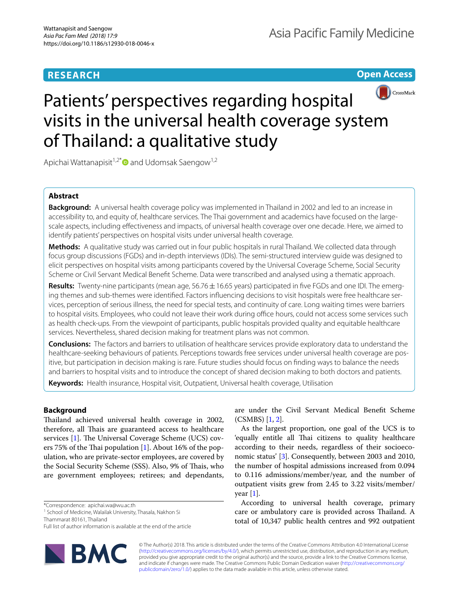# **RESEARCH**

**Open Access**



# Patients' perspectives regarding hospital visits in the universal health coverage system of Thailand: a qualitative study

Apichai Wattanapisit<sup>1,2\*</sup> and Udomsak Saengow<sup>1,2</sup>

# **Abstract**

**Background:** A universal health coverage policy was implemented in Thailand in 2002 and led to an increase in accessibility to, and equity of, healthcare services. The Thai government and academics have focused on the largescale aspects, including efectiveness and impacts, of universal health coverage over one decade. Here, we aimed to identify patients' perspectives on hospital visits under universal health coverage.

**Methods:** A qualitative study was carried out in four public hospitals in rural Thailand. We collected data through focus group discussions (FGDs) and in-depth interviews (IDIs). The semi-structured interview guide was designed to elicit perspectives on hospital visits among participants covered by the Universal Coverage Scheme, Social Security Scheme or Civil Servant Medical Beneft Scheme. Data were transcribed and analysed using a thematic approach.

**Results:** Twenty-nine participants (mean age, 56.76±16.65 years) participated in fve FGDs and one IDI. The emerging themes and sub-themes were identifed. Factors infuencing decisions to visit hospitals were free healthcare services, perception of serious illness, the need for special tests, and continuity of care. Long waiting times were barriers to hospital visits. Employees, who could not leave their work during office hours, could not access some services such as health check-ups. From the viewpoint of participants, public hospitals provided quality and equitable healthcare services. Nevertheless, shared decision making for treatment plans was not common.

**Conclusions:** The factors and barriers to utilisation of healthcare services provide exploratory data to understand the healthcare-seeking behaviours of patients. Perceptions towards free services under universal health coverage are positive, but participation in decision making is rare. Future studies should focus on fnding ways to balance the needs and barriers to hospital visits and to introduce the concept of shared decision making to both doctors and patients.

**Keywords:** Health insurance, Hospital visit, Outpatient, Universal health coverage, Utilisation

# **Background**

Thailand achieved universal health coverage in 2002, therefore, all Thais are guaranteed access to healthcare services  $[1]$ . The Universal Coverage Scheme (UCS) covers 75% of the Thai population  $[1]$  $[1]$ . About 16% of the population, who are private-sector employees, are covered by the Social Security Scheme (SSS). Also, 9% of Thais, who are government employees; retirees; and dependants,

\*Correspondence: apichai.wa@wu.ac.th

Thammarat 80161, Thailand

Full list of author information is available at the end of the article



are under the Civil Servant Medical Beneft Scheme (CSMBS) [[1](#page-6-0), [2\]](#page-6-1).

As the largest proportion, one goal of the UCS is to 'equally entitle all Thai citizens to quality healthcare according to their needs, regardless of their socioeconomic status' [\[3](#page-6-2)]. Consequently, between 2003 and 2010, the number of hospital admissions increased from 0.094 to 0.116 admissions/member/year, and the number of outpatient visits grew from 2.45 to 3.22 visits/member/ year  $[1]$  $[1]$ .

According to universal health coverage, primary care or ambulatory care is provided across Thailand. A total of 10,347 public health centres and 992 outpatient

© The Author(s) 2018. This article is distributed under the terms of the Creative Commons Attribution 4.0 International License [\(http://creativecommons.org/licenses/by/4.0/\)](http://creativecommons.org/licenses/by/4.0/), which permits unrestricted use, distribution, and reproduction in any medium, provided you give appropriate credit to the original author(s) and the source, provide a link to the Creative Commons license, and indicate if changes were made. The Creative Commons Public Domain Dedication waiver ([http://creativecommons.org/](http://creativecommons.org/publicdomain/zero/1.0/) [publicdomain/zero/1.0/](http://creativecommons.org/publicdomain/zero/1.0/)) applies to the data made available in this article, unless otherwise stated.

<sup>&</sup>lt;sup>1</sup> School of Medicine, Walailak University, Thasala, Nakhon Si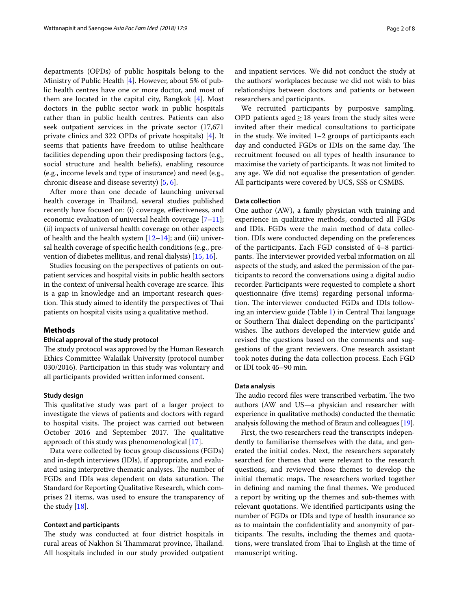departments (OPDs) of public hospitals belong to the Ministry of Public Health [[4\]](#page-6-3). However, about 5% of public health centres have one or more doctor, and most of them are located in the capital city, Bangkok [[4\]](#page-6-3). Most doctors in the public sector work in public hospitals rather than in public health centres. Patients can also seek outpatient services in the private sector (17,671 private clinics and 322 OPDs of private hospitals) [[4\]](#page-6-3). It seems that patients have freedom to utilise healthcare facilities depending upon their predisposing factors (e.g., social structure and health beliefs), enabling resource (e.g., income levels and type of insurance) and need (e.g., chronic disease and disease severity) [\[5](#page-6-4), [6\]](#page-6-5).

After more than one decade of launching universal health coverage in Thailand, several studies published recently have focused on: (i) coverage, efectiveness, and economic evaluation of universal health coverage  $[7-11]$  $[7-11]$ ; (ii) impacts of universal health coverage on other aspects of health and the health system  $[12-14]$  $[12-14]$  $[12-14]$ ; and (iii) universal health coverage of specifc health conditions (e.g., prevention of diabetes mellitus, and renal dialysis) [[15](#page-6-10), [16\]](#page-6-11).

Studies focusing on the perspectives of patients on outpatient services and hospital visits in public health sectors in the context of universal health coverage are scarce. This is a gap in knowledge and an important research question. This study aimed to identify the perspectives of Thai patients on hospital visits using a qualitative method.

#### **Methods**

# **Ethical approval of the study protocol**

The study protocol was approved by the Human Research Ethics Committee Walailak University (protocol number 030/2016). Participation in this study was voluntary and all participants provided written informed consent.

#### **Study design**

This qualitative study was part of a larger project to investigate the views of patients and doctors with regard to hospital visits. The project was carried out between October 2016 and September 2017. The qualitative approach of this study was phenomenological [\[17\]](#page-6-12).

Data were collected by focus group discussions (FGDs) and in-depth interviews (IDIs), if appropriate, and evaluated using interpretive thematic analyses. The number of FGDs and IDIs was dependent on data saturation. The Standard for Reporting Qualitative Research, which comprises 21 items, was used to ensure the transparency of the study [[18](#page-6-13)].

# **Context and participants**

The study was conducted at four district hospitals in rural areas of Nakhon Si Thammarat province, Thailand. All hospitals included in our study provided outpatient and inpatient services. We did not conduct the study at the authors' workplaces because we did not wish to bias relationships between doctors and patients or between researchers and participants.

We recruited participants by purposive sampling. OPD patients aged  $\geq$  18 years from the study sites were invited after their medical consultations to participate in the study. We invited 1–2 groups of participants each day and conducted FGDs or IDIs on the same day. The recruitment focused on all types of health insurance to maximise the variety of participants. It was not limited to any age. We did not equalise the presentation of gender. All participants were covered by UCS, SSS or CSMBS.

## **Data collection**

One author (AW), a family physician with training and experience in qualitative methods, conducted all FGDs and IDIs. FGDs were the main method of data collection. IDIs were conducted depending on the preferences of the participants. Each FGD consisted of 4–8 participants. The interviewer provided verbal information on all aspects of the study, and asked the permission of the participants to record the conversations using a digital audio recorder. Participants were requested to complete a short questionnaire (fve items) regarding personal information. The interviewer conducted FGDs and IDIs following an interview guide (Table  $1$ ) in Central Thai language or Southern Thai dialect depending on the participants' wishes. The authors developed the interview guide and revised the questions based on the comments and suggestions of the grant reviewers. One research assistant took notes during the data collection process. Each FGD or IDI took 45–90 min.

#### **Data analysis**

The audio record files were transcribed verbatim. The two authors (AW and US—a physician and researcher with experience in qualitative methods) conducted the thematic analysis following the method of Braun and colleagues [\[19\]](#page-6-14).

First, the two researchers read the transcripts independently to familiarise themselves with the data, and generated the initial codes. Next, the researchers separately searched for themes that were relevant to the research questions, and reviewed those themes to develop the initial thematic maps. The researchers worked together in defning and naming the fnal themes. We produced a report by writing up the themes and sub-themes with relevant quotations. We identifed participants using the number of FGDs or IDIs and type of health insurance so as to maintain the confdentiality and anonymity of participants. The results, including the themes and quotations, were translated from Thai to English at the time of manuscript writing.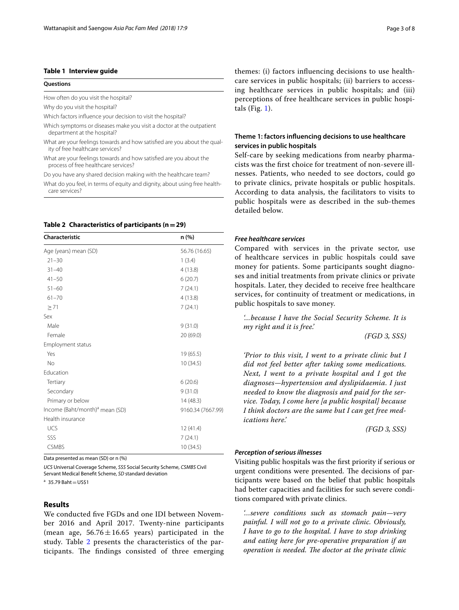#### <span id="page-2-0"></span>**Table 1 Interview guide**

| <b>Ouestions</b>                                                                                    |
|-----------------------------------------------------------------------------------------------------|
| How often do you visit the hospital?                                                                |
| Why do you visit the hospital?                                                                      |
| Which factors influence your decision to visit the hospital?                                        |
| Which symptoms or diseases make you visit a doctor at the outpatient<br>department at the hospital? |

- What are your feelings towards and how satisfed are you about the quality of free healthcare services?
- What are your feelings towards and how satisfed are you about the process of free healthcare services?

Do you have any shared decision making with the healthcare team?

What do you feel, in terms of equity and dignity, about using free healthcare services?

#### <span id="page-2-1"></span>**Table 2 Characteristics of participants (n=29)**

| <b>Characteristic</b>                      | n (%)             |
|--------------------------------------------|-------------------|
| Age (years) mean (SD)                      | 56.76 (16.65)     |
| $21 - 30$                                  | 1(3.4)            |
| $31 - 40$                                  | 4(13.8)           |
| $41 - 50$                                  | 6(20.7)           |
| $51 - 60$                                  | 7(24.1)           |
| $61 - 70$                                  | 4(13.8)           |
| > 71                                       | 7(24.1)           |
| Sex                                        |                   |
| Male                                       | 9(31.0)           |
| Female                                     | 20 (69.0)         |
| Employment status                          |                   |
| Yes                                        | 19(65.5)          |
| No                                         | 10 (34.5)         |
| Education                                  |                   |
| Tertiary                                   | 6(20.6)           |
| Secondary                                  | 9(31.0)           |
| Primary or below                           | 14(48.3)          |
| Income (Baht/month) <sup>a</sup> mean (SD) | 9160.34 (7667.99) |
| Health insurance                           |                   |
| UCS                                        | 12(41.4)          |
| SSS                                        | 7(24.1)           |
| <b>CSMBS</b>                               | 10 (34.5)         |

Data presented as mean (SD) or n (%)

*UCS* Universal Coverage Scheme, *SSS* Social Security Scheme, *CSMBS* Civil Servant Medical Beneft Scheme, *SD* standard deviation

 $a$  35.79 Baht=US\$1

# **Results**

We conducted fve FGDs and one IDI between November 2016 and April 2017. Twenty-nine participants (mean age,  $56.76 \pm 16.65$  years) participated in the study. Table [2](#page-2-1) presents the characteristics of the participants. The findings consisted of three emerging themes: (i) factors infuencing decisions to use healthcare services in public hospitals; (ii) barriers to accessing healthcare services in public hospitals; and (iii) perceptions of free healthcare services in public hospitals (Fig. [1](#page-3-0)).

# **Theme 1: factors infuencing decisions to use healthcare services in public hospitals**

Self-care by seeking medications from nearby pharmacists was the frst choice for treatment of non-severe illnesses. Patients, who needed to see doctors, could go to private clinics, private hospitals or public hospitals. According to data analysis, the facilitators to visits to public hospitals were as described in the sub-themes detailed below.

#### *Free healthcare services*

Compared with services in the private sector, use of healthcare services in public hospitals could save money for patients. Some participants sought diagnoses and initial treatments from private clinics or private hospitals. Later, they decided to receive free healthcare services, for continuity of treatment or medications, in public hospitals to save money.

*'…because I have the Social Security Scheme. It is my right and it is free.'*

*(FGD 3, SSS)*

*'Prior to this visit, I went to a private clinic but I did not feel better after taking some medications. Next, I went to a private hospital and I got the diagnoses—hypertension and dyslipidaemia. I just needed to know the diagnosis and paid for the service. Today, I come here [a public hospital] because I think doctors are the same but I can get free medications here.'*

*(FGD 3, SSS)*

#### *Perception of serious illnesses*

Visiting public hospitals was the frst priority if serious or urgent conditions were presented. The decisions of participants were based on the belief that public hospitals had better capacities and facilities for such severe conditions compared with private clinics.

*'…severe conditions such as stomach pain—very painful. I will not go to a private clinic. Obviously, I have to go to the hospital. I have to stop drinking and eating here for pre-operative preparation if an operation is needed. The doctor at the private clinic*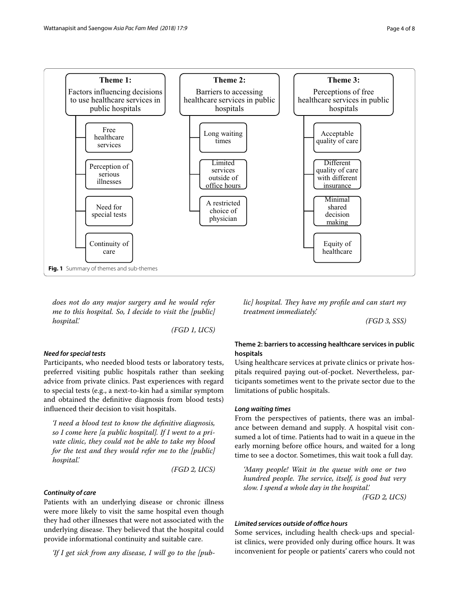

<span id="page-3-0"></span>*does not do any major surgery and he would refer me to this hospital. So, I decide to visit the [public] hospital.'*

*(FGD 1, UCS)*

# *Need for special tests*

Participants, who needed blood tests or laboratory tests, preferred visiting public hospitals rather than seeking advice from private clinics. Past experiences with regard to special tests (e.g., a next-to-kin had a similar symptom and obtained the defnitive diagnosis from blood tests) infuenced their decision to visit hospitals.

*'I need a blood test to know the defnitive diagnosis, so I come here [a public hospital]. If I went to a private clinic, they could not be able to take my blood for the test and they would refer me to the [public] hospital.'*

*(FGD 2, UCS)*

# *Continuity of care*

Patients with an underlying disease or chronic illness were more likely to visit the same hospital even though they had other illnesses that were not associated with the underlying disease. They believed that the hospital could provide informational continuity and suitable care.

*'If I get sick from any disease, I will go to the [pub-*

*lic]* hospital. They have my profile and can start my *treatment immediately.'*

*(FGD 3, SSS)*

# **Theme 2: barriers to accessing healthcare services in public hospitals**

Using healthcare services at private clinics or private hospitals required paying out-of-pocket. Nevertheless, participants sometimes went to the private sector due to the limitations of public hospitals.

#### *Long waiting times*

From the perspectives of patients, there was an imbalance between demand and supply. A hospital visit consumed a lot of time. Patients had to wait in a queue in the early morning before office hours, and waited for a long time to see a doctor. Sometimes, this wait took a full day.

*'Many people! Wait in the queue with one or two hundred people. The service, itself, is good but very slow. I spend a whole day in the hospital.' (FGD 2, UCS)*

# **Limited services outside of office hours**

Some services, including health check-ups and specialist clinics, were provided only during office hours. It was inconvenient for people or patients' carers who could not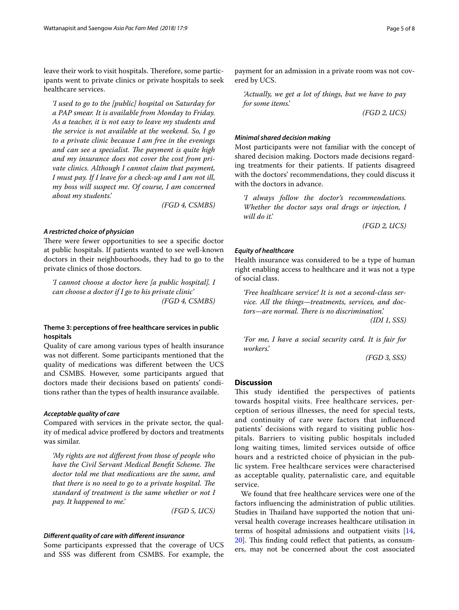leave their work to visit hospitals. Therefore, some participants went to private clinics or private hospitals to seek healthcare services.

*'I used to go to the [public] hospital on Saturday for a PAP smear. It is available from Monday to Friday. As a teacher, it is not easy to leave my students and the service is not available at the weekend. So, I go to a private clinic because I am free in the evenings and can see a specialist. The payment is quite high and my insurance does not cover the cost from private clinics. Although I cannot claim that payment, I must pay. If I leave for a check-up and I am not ill, my boss will suspect me. Of course, I am concerned about my students.'*

*(FGD 4, CSMBS)*

## *A restricted choice of physician*

There were fewer opportunities to see a specific doctor at public hospitals. If patients wanted to see well-known doctors in their neighbourhoods, they had to go to the private clinics of those doctors.

*'I cannot choose a doctor here [a public hospital]. I can choose a doctor if I go to his private clinic' (FGD 4, CSMBS)*

# **Theme 3: perceptions of free healthcare services in public hospitals**

Quality of care among various types of health insurance was not diferent. Some participants mentioned that the quality of medications was diferent between the UCS and CSMBS. However, some participants argued that doctors made their decisions based on patients' conditions rather than the types of health insurance available.

#### *Acceptable quality of care*

Compared with services in the private sector, the quality of medical advice proffered by doctors and treatments was similar.

*'My rights are not diferent from those of people who*  have the Civil Servant Medical Benefit Scheme. The *doctor told me that medications are the same, and that there is no need to go to a private hospital. The standard of treatment is the same whether or not I pay. It happened to me.'*

*(FGD 5, UCS)*

#### *Diferent quality of care with diferent insurance*

Some participants expressed that the coverage of UCS and SSS was diferent from CSMBS. For example, the

payment for an admission in a private room was not covered by UCS.

*'Actually, we get a lot of things, but we have to pay for some items.'*

*(FGD 2, UCS)*

#### *Minimal shared decision making*

Most participants were not familiar with the concept of shared decision making. Doctors made decisions regarding treatments for their patients. If patients disagreed with the doctors' recommendations, they could discuss it with the doctors in advance.

*'I always follow the doctor's recommendations. Whether the doctor says oral drugs or injection, I will do it.'*

*(FGD 2, UCS)*

#### *Equity of healthcare*

Health insurance was considered to be a type of human right enabling access to healthcare and it was not a type of social class.

*'Free healthcare service! It is not a second-class service. All the things—treatments, services, and doc*tors—are normal. There is no discrimination.<sup>'</sup> *(IDI 1, SSS)*

*'For me, I have a social security card. It is fair for workers.'*

*(FGD 3, SSS)*

# **Discussion**

This study identified the perspectives of patients towards hospital visits. Free healthcare services, perception of serious illnesses, the need for special tests, and continuity of care were factors that infuenced patients' decisions with regard to visiting public hospitals. Barriers to visiting public hospitals included long waiting times, limited services outside of office hours and a restricted choice of physician in the public system. Free healthcare services were characterised as acceptable quality, paternalistic care, and equitable service.

We found that free healthcare services were one of the factors infuencing the administration of public utilities. Studies in Thailand have supported the notion that universal health coverage increases healthcare utilisation in terms of hospital admissions and outpatient visits [[14](#page-6-9), [20\]](#page-6-15). This finding could reflect that patients, as consumers, may not be concerned about the cost associated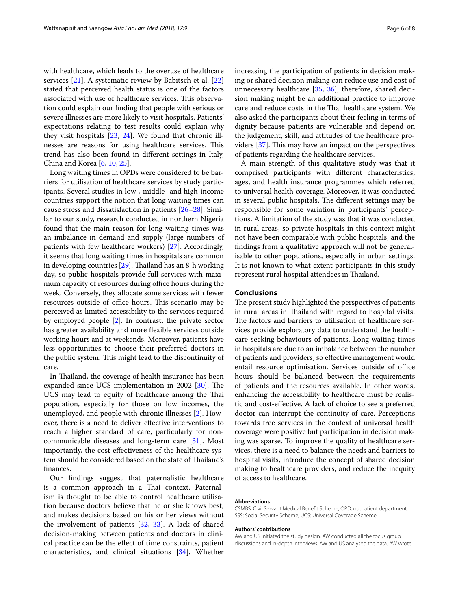with healthcare, which leads to the overuse of healthcare services [\[21](#page-6-16)]. A systematic review by Babitsch et al. [[22](#page-6-17)] stated that perceived health status is one of the factors associated with use of healthcare services. This observation could explain our fnding that people with serious or severe illnesses are more likely to visit hospitals. Patients' expectations relating to test results could explain why they visit hospitals [[23,](#page-6-18) [24\]](#page-6-19). We found that chronic illnesses are reasons for using healthcare services. This trend has also been found in diferent settings in Italy, China and Korea  $[6, 10, 25]$  $[6, 10, 25]$  $[6, 10, 25]$  $[6, 10, 25]$  $[6, 10, 25]$ .

Long waiting times in OPDs were considered to be barriers for utilisation of healthcare services by study participants. Several studies in low-, middle- and high-income countries support the notion that long waiting times can cause stress and dissatisfaction in patients [[26–](#page-6-22)[28](#page-6-23)]. Similar to our study, research conducted in northern Nigeria found that the main reason for long waiting times was an imbalance in demand and supply (large numbers of patients with few healthcare workers) [[27](#page-6-24)]. Accordingly, it seems that long waiting times in hospitals are common in developing countries  $[29]$  $[29]$ . Thailand has an 8-h working day, so public hospitals provide full services with maximum capacity of resources during office hours during the week. Conversely, they allocate some services with fewer resources outside of office hours. This scenario may be perceived as limited accessibility to the services required by employed people [[2\]](#page-6-1). In contrast, the private sector has greater availability and more fexible services outside working hours and at weekends. Moreover, patients have less opportunities to choose their preferred doctors in the public system. This might lead to the discontinuity of care.

In Thailand, the coverage of health insurance has been expanded since UCS implementation in 2002  $[30]$  $[30]$ . The UCS may lead to equity of healthcare among the Thai population, especially for those on low incomes, the unemployed, and people with chronic illnesses [\[2](#page-6-1)]. However, there is a need to deliver efective interventions to reach a higher standard of care, particularly for noncommunicable diseases and long-term care [\[31](#page-6-27)]. Most importantly, the cost-efectiveness of the healthcare system should be considered based on the state of Thailand's fnances.

Our fndings suggest that paternalistic healthcare is a common approach in a Thai context. Paternalism is thought to be able to control healthcare utilisation because doctors believe that he or she knows best, and makes decisions based on his or her views without the involvement of patients [\[32,](#page-6-28) [33\]](#page-6-29). A lack of shared decision-making between patients and doctors in clinical practice can be the efect of time constraints, patient characteristics, and clinical situations [[34\]](#page-6-30). Whether increasing the participation of patients in decision making or shared decision making can reduce use and cost of unnecessary healthcare [[35](#page-7-0), [36](#page-7-1)], therefore, shared decision making might be an additional practice to improve care and reduce costs in the Thai healthcare system. We also asked the participants about their feeling in terms of dignity because patients are vulnerable and depend on the judgement, skill, and attitudes of the healthcare providers  $[37]$  $[37]$ . This may have an impact on the perspectives of patients regarding the healthcare services.

A main strength of this qualitative study was that it comprised participants with diferent characteristics, ages, and health insurance programmes which referred to universal health coverage. Moreover, it was conducted in several public hospitals. The different settings may be responsible for some variation in participants' perceptions. A limitation of the study was that it was conducted in rural areas, so private hospitals in this context might not have been comparable with public hospitals, and the fndings from a qualitative approach will not be generalisable to other populations, especially in urban settings. It is not known to what extent participants in this study represent rural hospital attendees in Thailand.

#### **Conclusions**

The present study highlighted the perspectives of patients in rural areas in Thailand with regard to hospital visits. The factors and barriers to utilisation of healthcare services provide exploratory data to understand the healthcare-seeking behaviours of patients. Long waiting times in hospitals are due to an imbalance between the number of patients and providers, so efective management would entail resource optimisation. Services outside of office hours should be balanced between the requirements of patients and the resources available. In other words, enhancing the accessibility to healthcare must be realistic and cost-efective. A lack of choice to see a preferred doctor can interrupt the continuity of care. Perceptions towards free services in the context of universal health coverage were positive but participation in decision making was sparse. To improve the quality of healthcare services, there is a need to balance the needs and barriers to hospital visits, introduce the concept of shared decision making to healthcare providers, and reduce the inequity of access to healthcare.

#### **Abbreviations**

CSMBS: Civil Servant Medical Beneft Scheme; OPD: outpatient department; SSS: Social Security Scheme; UCS: Universal Coverage Scheme.

#### **Authors' contributions**

AW and US initiated the study design. AW conducted all the focus group discussions and in-depth interviews. AW and US analysed the data. AW wrote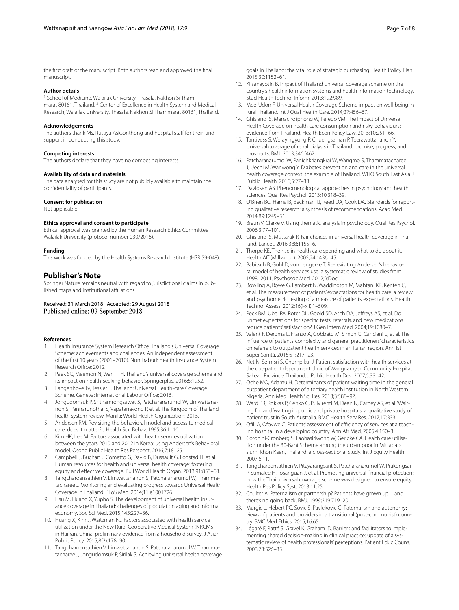the frst draft of the manuscript. Both authors read and approved the fnal manuscript.

#### **Author details**

<sup>1</sup> School of Medicine, Walailak University, Thasala, Nakhon Si Thammarat 80161, Thailand. <sup>2</sup> Center of Excellence in Health System and Medical Research, Walailak University, Thasala, Nakhon Si Thammarat 80161, Thailand.

#### **Acknowledgements**

The authors thank Ms. Ruttiya Asksonthong and hospital staff for their kind support in conducting this study.

#### **Competing interests**

The authors declare that they have no competing interests.

#### **Availability of data and materials**

The data analysed for this study are not publicly available to maintain the confdentiality of participants.

#### **Consent for publication**

Not applicable.

#### **Ethics approval and consent to participate**

Ethical approval was granted by the Human Research Ethics Committee Walailak University (protocol number 030/2016).

#### **Funding**

This work was funded by the Health Systems Research Institute (HSRI59-048).

#### **Publisher's Note**

Springer Nature remains neutral with regard to jurisdictional claims in published maps and institutional afliations.

# Received: 31 March 2018 Accepted: 29 August 2018

#### **References**

- <span id="page-6-0"></span>1. Health Insurance System Research Office. Thailand's Universal Coverage Scheme: achievements and challenges. An independent assessment of the frst 10 years (2001–2010). Nonthaburi: Health Insurance System Research Office; 2012.
- <span id="page-6-1"></span>2. Paek SC, Meemon N, Wan TTH. Thailand's universal coverage scheme and its impact on health-seeking behavior. Springerplus. 2016;5:1952.
- <span id="page-6-2"></span>3. Langenhove Tv, Tessier L. Thailand: Universal Health-care Coverage Scheme. Geneva: International Labour Office; 2016.
- <span id="page-6-3"></span>4. Jongudomsuk P, Srithamrongsawat S, Patcharanarumol W, Limwattananon S, Pannarunothai S, Vapatanavong P, et al. The Kingdom of Thailand health system review. Manila: World Health Organization; 2015.
- <span id="page-6-4"></span>5. Andersen RM. Revisiting the behavioral model and access to medical care: does it matter? J Health Soc Behav. 1995;36:1–10.
- <span id="page-6-5"></span>Kim HK, Lee M. Factors associated with health services utilization between the years 2010 and 2012 in Korea: using Andersen's Behavioral model. Osong Public Health Res Perspect. 2016;7:18–25.
- <span id="page-6-6"></span>7. Campbell J, Buchan J, Cometto G, David B, Dussault G, Fogstad H, et al. Human resources for health and universal health coverage: fostering equity and efective coverage. Bull World Health Organ. 2013;91:853–63.
- 8. Tangcharoensathien V, Limwattananon S, Patcharanarumol W, Thammatacharee J. Monitoring and evaluating progress towards Universal Health Coverage in Thailand. PLoS Med. 2014;11:e1001726.
- 9. Hsu M, Huang X, Yupho S. The development of universal health insurance coverage in Thailand: challenges of population aging and informal economy. Soc Sci Med. 2015;145:227–36.
- <span id="page-6-20"></span>10. Huang X, Kim J, Waitzman NJ. Factors associated with health service utilization under the New Rural Cooperative Medical System (NRCMS) in Hainan, China: preliminary evidence from a household survey. J Asian Public Policy. 2015;8(2):178–90.
- <span id="page-6-7"></span>11. Tangcharoensathien V, Limwattananon S, Patcharanarumol W, Thammatacharee J, Jongudomsuk P, Sirilak S. Achieving universal health coverage

goals in Thailand: the vital role of strategic purchasing. Health Policy Plan. 2015;30:1152–61.

- <span id="page-6-8"></span>12. Kijsanayotin B. Impact of Thailand universal coverage scheme on the country's health information systems and health information technology. Stud Health Technol Inform. 2013;192:989.
- 13. Mee-Udon F. Universal Health Coverage Scheme impact on well-being in rural Thailand. Int J Qual Health Care. 2014;27:456–67.
- <span id="page-6-9"></span>14. Ghislandi S, Manachotphong W, Perego VM. The impact of Universal Health Coverage on health care consumption and risky behaviours: evidence from Thailand. Health Econ Policy Law. 2015;10:251–66.
- <span id="page-6-10"></span>15. Tantivess S, Werayingyong P, Chuengsaman P, Teerawattananon Y. Universal coverage of renal dialysis in Thailand: promise, progress, and prospects. BMJ. 2013;346:f462.
- <span id="page-6-11"></span>16. Patcharanarumol W, Panichkriangkrai W, Wangmo S, Thammatacharee J, Uechi M, Wanwong Y. Diabetes prevention and care in the universal health coverage context: the example of Thailand. WHO South East Asia J Public Health. 2016;5:27–33.
- <span id="page-6-12"></span>17. Davidsen AS. Phenomenological approaches in psychology and health sciences. Qual Res Psychol. 2013;10:318–39.
- <span id="page-6-13"></span>18. O'Brien BC, Harris IB, Beckman TJ, Reed DA, Cook DA. Standards for reporting qualitative research: a synthesis of recommendations. Acad Med. 2014;89:1245–51.
- <span id="page-6-14"></span>19. Braun V, Clarke V. Using thematic analysis in psychology. Qual Res Psychol. 2006;3:77–101.
- <span id="page-6-15"></span>20. Ghislandi S, Muttarak R. Fair choices in universal health coverage in Thailand. Lancet. 2016;388:1155–6.
- <span id="page-6-16"></span>21. Thorpe KE. The rise in health care spending and what to do about it. Health Aff (Millwood). 2005;24:1436-45.
- <span id="page-6-17"></span>22. Babitsch B, Gohl D, von Lengerke T. Re-revisiting Andersen's behavioral model of health services use: a systematic review of studies from 1998–2011. Psychosoc Med. 2012;9:Doc11.
- <span id="page-6-18"></span>23. Bowling A, Rowe G, Lambert N, Waddington M, Mahtani KR, Kenten C, et al. The measurement of patients' expectations for health care: a review and psychometric testing of a measure of patients' expectations. Health Technol Assess. 2012;16(i-xii):1–509.
- <span id="page-6-19"></span>24. Peck BM, Ubel PA, Roter DL, Goold SD, Asch DA, Jefreys AS, et al. Do unmet expectations for specifc tests, referrals, and new medications reduce patients' satisfaction? J Gen Intern Med. 2004;19:1080–7.
- <span id="page-6-21"></span>25. Valent F, Deroma L, Franzo A, Gobbato M, Simon G, Canciani L, et al. The infuence of patients' complexity and general practitioners' characteristics on referrals to outpatient health services in an Italian region. Ann Ist Super Sanità. 2015;51:217–23.
- <span id="page-6-22"></span>26. Net N, Sermsri S, Chompikul J. Patient satisfaction with health services at the out-patient department clinic of Wangnamyen Community Hospital, Sakeao Province, Thailand. J Public Health Dev. 2007;5:33–42.
- <span id="page-6-24"></span>27. Oche MO, Adamu H. Determinants of patient waiting time in the general outpatient department of a tertiary health institution in North Western Nigeria. Ann Med Health Sci Res. 2013;3:588–92.
- <span id="page-6-23"></span>28. Ward PR, Rokkas P, Cenko C, Pulvirenti M, Dean N, Carney AS, et al. 'Waiting for' and 'waiting in' public and private hospitals: a qualitative study of patient trust in South Australia. BMC Health Serv Res. 2017;17:333.
- <span id="page-6-25"></span>29. Ofili A, Ofovwe C. Patients' assessment of efficiency of services at a teaching hospital in a developing country. Ann Afr Med. 2005;4:150–3.
- <span id="page-6-26"></span>30. Coronini-Cronberg S, Laohasiriwong W, Gericke CA. Health care utilisation under the 30-Baht Scheme among the urban poor in Mitrapap slum, Khon Kaen, Thailand: a cross-sectional study. Int J Equity Health. 2007;6:11.
- <span id="page-6-27"></span>31. Tangcharoensathien V, Pitayarangsarit S, Patcharanarumol W, Prakongsai P, Sumalee H, Tosanguan J, et al. Promoting universal fnancial protection: how the Thai universal coverage scheme was designed to ensure equity. Health Res Policy Syst. 2013;11:25.
- <span id="page-6-28"></span>32. Coulter A. Paternalism or partnership? Patients have grown up—and there's no going back. BMJ. 1999;319:719–20.
- <span id="page-6-29"></span>33. Murgic L, Hébert PC, Sovic S, Pavlekovic G. Paternalism and autonomy: views of patients and providers in a transitional (post-communist) country. BMC Med Ethics. 2015;16:65.
- <span id="page-6-30"></span>34. Légaré F, Ratté S, Gravel K, Graham ID. Barriers and facilitators to implementing shared decision-making in clinical practice: update of a systematic review of health professionals' perceptions. Patient Educ Couns. 2008;73:526–35.